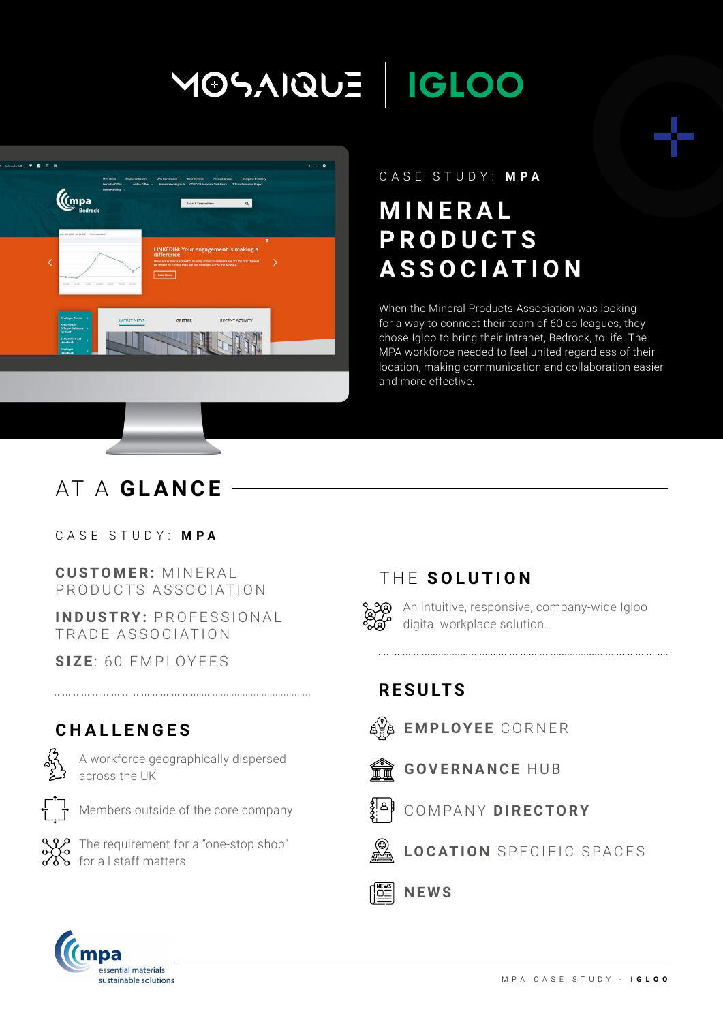# MOSAIQUE | IGLOO



#### CASE STUDY: **MPA**

# **M I N E R A L P R O D U C T S ASSOCIATION**

When the Mineral Products Association was looking for a way to connect their team of 60 colleagues, they chose Igloo to bring their intranet, Bedrock, to life. The MPA workforce needed to feel united regardless of their location, making communication and collaboration easier and more effective.

# AT A **GLANCE**

CASE STUDY: **MPA**

**CUSTOMER: MINERAL** PRODUCTS ASSOCIATION

**INDUSTRY: PROFESSIONAL** TRADE ASSOCIATION

**SIZE**: 60 EMPLOYEES

### **CHALLENGES**



A workforce geographically dispersed across the UK



Members outside of the core company



The requirement for a "one-stop shop" for all staff matters

# THE **SOLUTION**



An intuitive, responsive, company-wide Igloo digital workplace solution.

## **RESULTS**

- **EMPLOYEE** CORNER
- **GOVERNANCE** HUB ₩₩



COMPANY **DIRECTORY**



**NEWS**

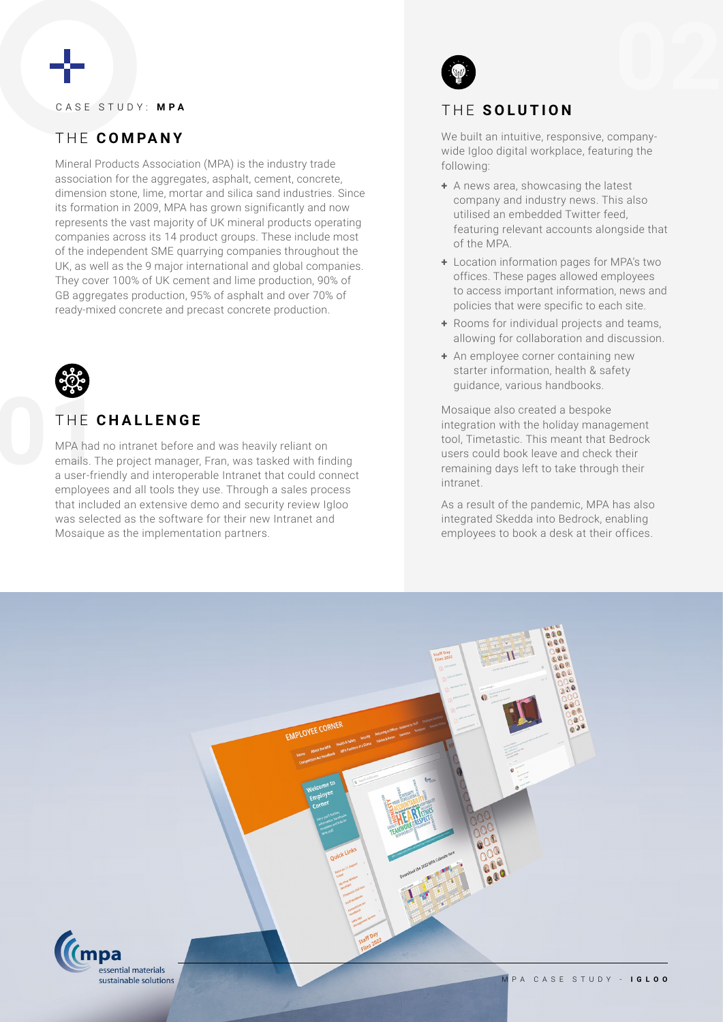#### CASE STUDY: **MPA**

### THE **COMPANY**

Mineral Products Association (MPA) is the industry trade association for the aggregates, asphalt, cement, concrete, dimension stone, lime, mortar and silica sand industries. Since its formation in 2009, MPA has grown significantly and now represents the vast majority of UK mineral products operating companies across its 14 product groups. These include most of the independent SME quarrying companies throughout the UK, as well as the 9 major international and global companies. They cover 100% of UK cement and lime production, 90% of GB aggregates production, 95% of asphalt and over 70% of ready-mixed concrete and precast concrete production.



#### THE **CHALLENGE**

THE<br>
MPA had<br>
emails. T<br>
a user-fri MPA had no intranet before and was heavily reliant on emails. The project manager, Fran, was tasked with finding a user-friendly and interoperable Intranet that could connect employees and all tools they use. Through a sales process that included an extensive demo and security review Igloo was selected as the software for their new Intranet and Mosaique as the implementation partners.



#### THE **SOLUTION**

We built an intuitive, responsive, companywide Igloo digital workplace, featuring the following:

- **+** A news area, showcasing the latest company and industry news. This also utilised an embedded Twitter feed, featuring relevant accounts alongside that of the MPA.
- **+** Location information pages for MPA's two offices. These pages allowed employees to access important information, news and policies that were specific to each site.
- **+** Rooms for individual projects and teams, allowing for collaboration and discussion.
- **+** An employee corner containing new starter information, health & safety guidance, various handbooks.

Mosaique also created a bespoke integration with the holiday management tool, Timetastic. This meant that Bedrock users could book leave and check their remaining days left to take through their intranet.

As a result of the pandemic, MPA has also integrated Skedda into Bedrock, enabling employees to book a desk at their offices.

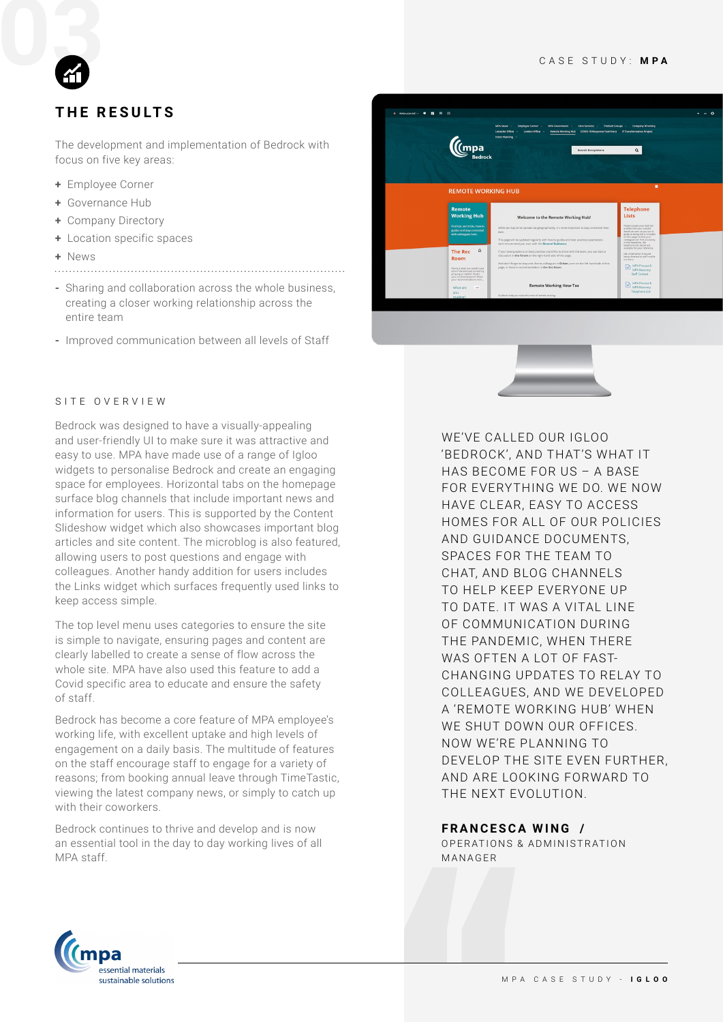#### CASE STUDY: **MPA**



### **THE RESULTS**

The development and implementation of Bedrock with focus on five key areas:

- **+** Employee Corner
- **+** Governance Hub
- **+** Company Directory
- **+** Location specific spaces
- **+** News
- 
- **-** Sharing and collaboration across the whole business, creating a closer working relationship across the entire team
- **-** Improved communication between all levels of Staff





#### SITE OVERVIEW

Bedrock was designed to have a visually-appealing and user-friendly UI to make sure it was attractive and easy to use. MPA have made use of a range of Igloo widgets to personalise Bedrock and create an engaging space for employees. Horizontal tabs on the homepage surface blog channels that include important news and information for users. This is supported by the Content Slideshow widget which also showcases important blog articles and site content. The microblog is also featured, allowing users to post questions and engage with colleagues. Another handy addition for users includes the Links widget which surfaces frequently used links to keep access simple.

The top level menu uses categories to ensure the site is simple to navigate, ensuring pages and content are clearly labelled to create a sense of flow across the whole site. MPA have also used this feature to add a Covid specific area to educate and ensure the safety of staff.

Bedrock has become a core feature of MPA employee's working life, with excellent uptake and high levels of engagement on a daily basis. The multitude of features on the staff encourage staff to engage for a variety of reasons; from booking annual leave through TimeTastic, viewing the latest company news, or simply to catch up with their coworkers.

Bedrock continues to thrive and develop and is now an essential tool in the day to day working lives of all MPA staff.

WE'VE CALLED OUR IGLOO 'BEDROCK', AND THAT'S WHAT IT HAS BECOME FOR US – A BASE FOR EVERYTHING WE DO. WE NOW HAVE CLEAR, EASY TO ACCESS HOMES FOR ALL OF OUR POLICIES AND GUIDANCE DOCUMENTS, SPACES FOR THE TEAM TO CHAT, AND BLOG CHANNELS TO HELP KEEP EVERYONE UP TO DATE IT WAS A VITAL LINE OF COMMUNICATION DURING THE PANDEMIC, WHEN THERE WAS OFTEN A LOT OF FAST-CHANGING UPDATES TO RELAY TO COLLEAGUES, AND WE DEVELOPED A 'REMOTE WORKING HUB' WHEN WE SHUT DOWN OUR OFFICES. NOW WE'RE PLANNING TO DEVELOP THE SITE EVEN FURTHER, AND ARE LOOKING FORWARD TO THE NEXT EVOLUTION.

#### **FRANCESCA WING /**

O P E RATIONS & AD MINISTRATION MANAGER